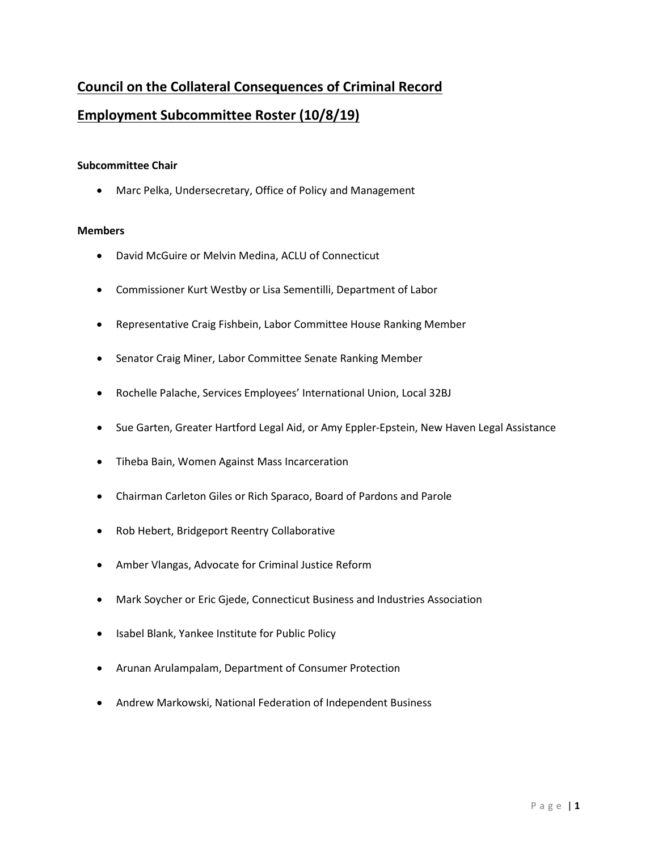# **Council on the Collateral Consequences of Criminal Record Employment Subcommittee Roster (10/8/19)**

### **Subcommittee Chair**

• Marc Pelka, Undersecretary, Office of Policy and Management

### **Members**

- David McGuire or Melvin Medina, ACLU of Connecticut
- Commissioner Kurt Westby or Lisa Sementilli, Department of Labor
- Representative Craig Fishbein, Labor Committee House Ranking Member
- Senator Craig Miner, Labor Committee Senate Ranking Member
- Rochelle Palache, Services Employees' International Union, Local 32BJ
- Sue Garten, Greater Hartford Legal Aid, or Amy Eppler-Epstein, New Haven Legal Assistance
- Tiheba Bain, Women Against Mass Incarceration
- Chairman Carleton Giles or Rich Sparaco, Board of Pardons and Parole
- Rob Hebert, Bridgeport Reentry Collaborative
- Amber Vlangas, Advocate for Criminal Justice Reform
- Mark Soycher or Eric Gjede, Connecticut Business and Industries Association
- Isabel Blank, Yankee Institute for Public Policy
- Arunan Arulampalam, Department of Consumer Protection
- Andrew Markowski, National Federation of Independent Business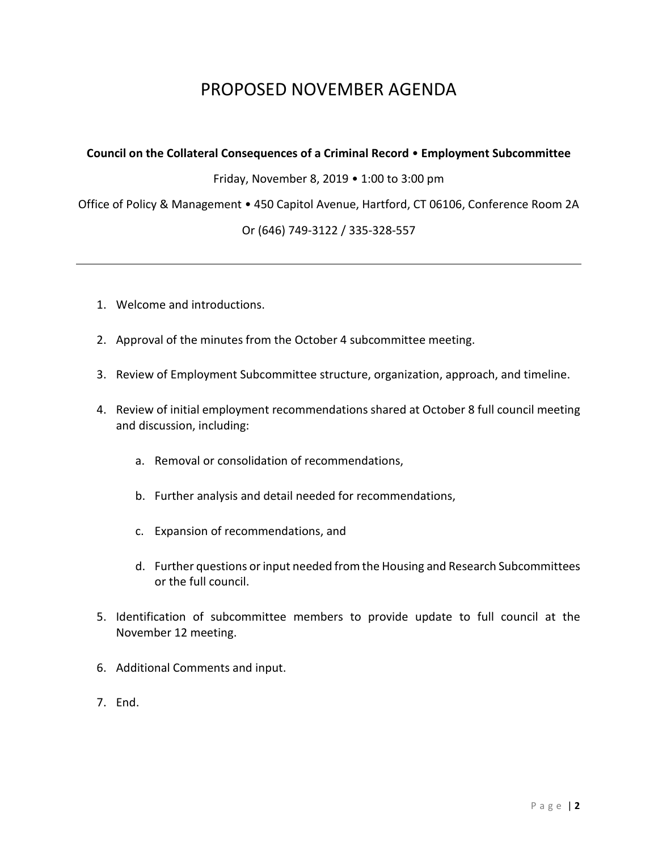# PROPOSED NOVEMBER AGENDA

### **Council on the Collateral Consequences of a Criminal Record** • **Employment Subcommittee**

Friday, November 8, 2019 • 1:00 to 3:00 pm

Office of Policy & Management • 450 Capitol Avenue, Hartford, CT 06106, Conference Room 2A

## Or (646) 749-3122 / 335-328-557

- 1. Welcome and introductions.
- 2. Approval of the minutes from the October 4 subcommittee meeting.
- 3. Review of Employment Subcommittee structure, organization, approach, and timeline.
- 4. Review of initial employment recommendations shared at October 8 full council meeting and discussion, including:
	- a. Removal or consolidation of recommendations,
	- b. Further analysis and detail needed for recommendations,
	- c. Expansion of recommendations, and
	- d. Further questions or input needed from the Housing and Research Subcommittees or the full council.
- 5. Identification of subcommittee members to provide update to full council at the November 12 meeting.
- 6. Additional Comments and input.
- 7. End.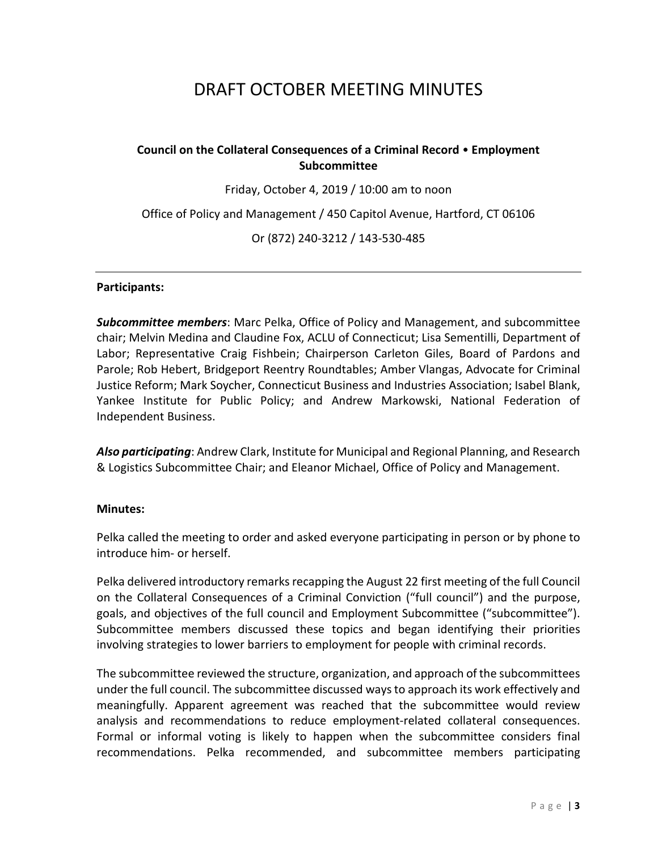# DRAFT OCTOBER MEETING MINUTES

# **Council on the Collateral Consequences of a Criminal Record** • **Employment Subcommittee**

Friday, October 4, 2019 / 10:00 am to noon

Office of Policy and Management / 450 Capitol Avenue, Hartford, CT 06106

Or (872) 240-3212 / 143-530-485

### **Participants:**

*Subcommittee members*: Marc Pelka, Office of Policy and Management, and subcommittee chair; Melvin Medina and Claudine Fox, ACLU of Connecticut; Lisa Sementilli, Department of Labor; Representative Craig Fishbein; Chairperson Carleton Giles, Board of Pardons and Parole; Rob Hebert, Bridgeport Reentry Roundtables; Amber Vlangas, Advocate for Criminal Justice Reform; Mark Soycher, Connecticut Business and Industries Association; Isabel Blank, Yankee Institute for Public Policy; and Andrew Markowski, National Federation of Independent Business.

*Also participating*: Andrew Clark, Institute for Municipal and Regional Planning, and Research & Logistics Subcommittee Chair; and Eleanor Michael, Office of Policy and Management.

### **Minutes:**

Pelka called the meeting to order and asked everyone participating in person or by phone to introduce him- or herself.

Pelka delivered introductory remarks recapping the August 22 first meeting of the full Council on the Collateral Consequences of a Criminal Conviction ("full council") and the purpose, goals, and objectives of the full council and Employment Subcommittee ("subcommittee"). Subcommittee members discussed these topics and began identifying their priorities involving strategies to lower barriers to employment for people with criminal records.

The subcommittee reviewed the structure, organization, and approach of the subcommittees under the full council. The subcommittee discussed ways to approach its work effectively and meaningfully. Apparent agreement was reached that the subcommittee would review analysis and recommendations to reduce employment-related collateral consequences. Formal or informal voting is likely to happen when the subcommittee considers final recommendations. Pelka recommended, and subcommittee members participating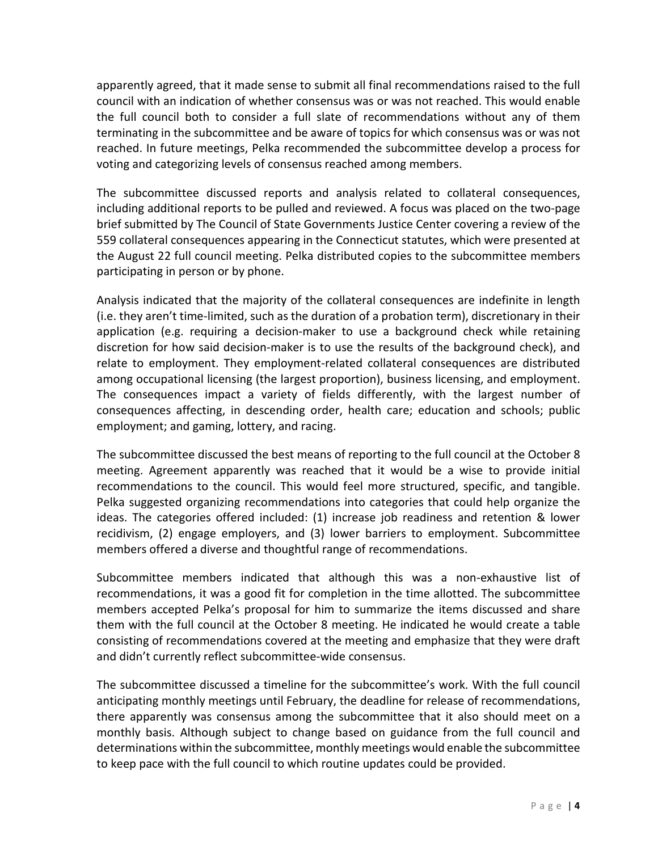apparently agreed, that it made sense to submit all final recommendations raised to the full council with an indication of whether consensus was or was not reached. This would enable the full council both to consider a full slate of recommendations without any of them terminating in the subcommittee and be aware of topics for which consensus was or was not reached. In future meetings, Pelka recommended the subcommittee develop a process for voting and categorizing levels of consensus reached among members.

The subcommittee discussed reports and analysis related to collateral consequences, including additional reports to be pulled and reviewed. A focus was placed on the two-page brief submitted by The Council of State Governments Justice Center covering a review of the 559 collateral consequences appearing in the Connecticut statutes, which were presented at the August 22 full council meeting. Pelka distributed copies to the subcommittee members participating in person or by phone.

Analysis indicated that the majority of the collateral consequences are indefinite in length (i.e. they aren't time-limited, such as the duration of a probation term), discretionary in their application (e.g. requiring a decision-maker to use a background check while retaining discretion for how said decision-maker is to use the results of the background check), and relate to employment. They employment-related collateral consequences are distributed among occupational licensing (the largest proportion), business licensing, and employment. The consequences impact a variety of fields differently, with the largest number of consequences affecting, in descending order, health care; education and schools; public employment; and gaming, lottery, and racing.

The subcommittee discussed the best means of reporting to the full council at the October 8 meeting. Agreement apparently was reached that it would be a wise to provide initial recommendations to the council. This would feel more structured, specific, and tangible. Pelka suggested organizing recommendations into categories that could help organize the ideas. The categories offered included: (1) increase job readiness and retention & lower recidivism, (2) engage employers, and (3) lower barriers to employment. Subcommittee members offered a diverse and thoughtful range of recommendations.

Subcommittee members indicated that although this was a non-exhaustive list of recommendations, it was a good fit for completion in the time allotted. The subcommittee members accepted Pelka's proposal for him to summarize the items discussed and share them with the full council at the October 8 meeting. He indicated he would create a table consisting of recommendations covered at the meeting and emphasize that they were draft and didn't currently reflect subcommittee-wide consensus.

The subcommittee discussed a timeline for the subcommittee's work. With the full council anticipating monthly meetings until February, the deadline for release of recommendations, there apparently was consensus among the subcommittee that it also should meet on a monthly basis. Although subject to change based on guidance from the full council and determinations within the subcommittee, monthly meetings would enable the subcommittee to keep pace with the full council to which routine updates could be provided.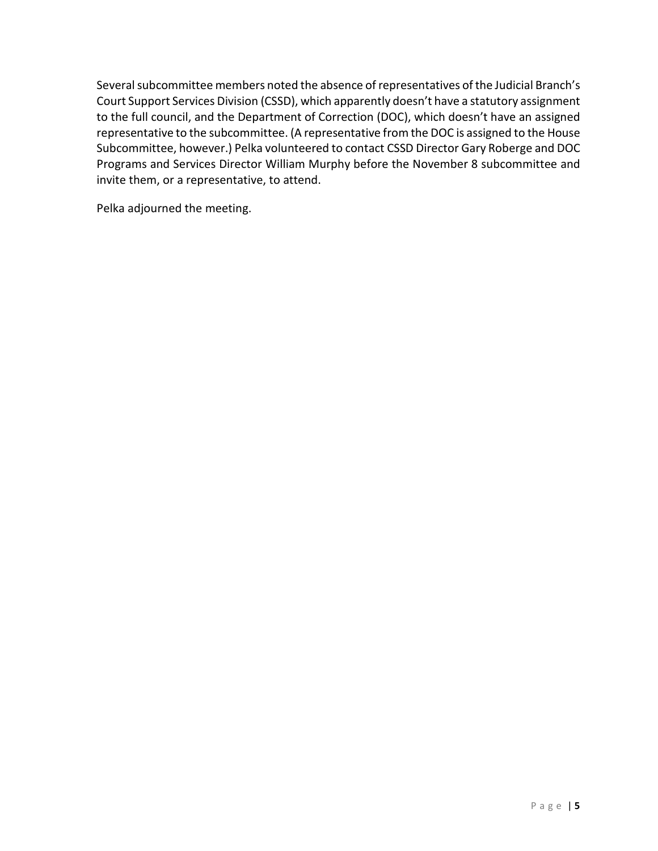Several subcommittee members noted the absence of representatives of the Judicial Branch's Court Support Services Division (CSSD), which apparently doesn't have a statutory assignment to the full council, and the Department of Correction (DOC), which doesn't have an assigned representative to the subcommittee. (A representative from the DOC is assigned to the House Subcommittee, however.) Pelka volunteered to contact CSSD Director Gary Roberge and DOC Programs and Services Director William Murphy before the November 8 subcommittee and invite them, or a representative, to attend.

Pelka adjourned the meeting.